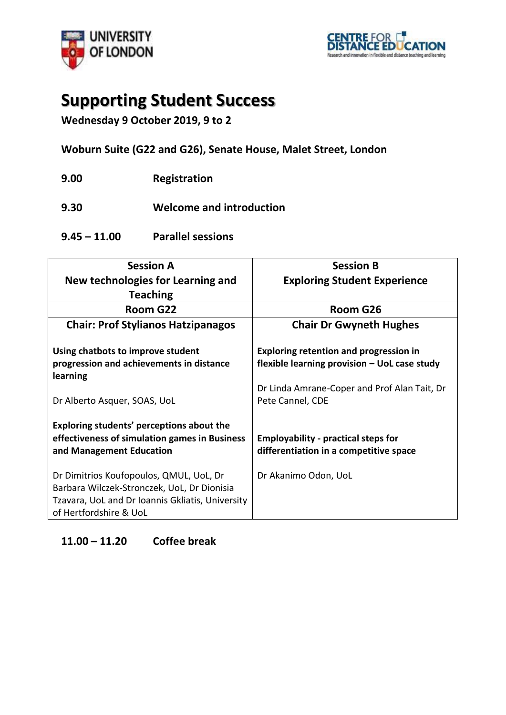



## **Supporting Student Success**

**Wednesday 9 October 2019, 9 to 2**

**Woburn Suite (G22 and G26), Senate House, Malet Street, London**

**9.00 Registration** 

**9.30 Welcome and introduction**

**9.45 – 11.00 Parallel sessions**

| <b>Session A</b>                                 | <b>Session B</b>                              |
|--------------------------------------------------|-----------------------------------------------|
| New technologies for Learning and                | <b>Exploring Student Experience</b>           |
| <b>Teaching</b>                                  |                                               |
| Room G22                                         | Room G26                                      |
| <b>Chair: Prof Stylianos Hatzipanagos</b>        | <b>Chair Dr Gwyneth Hughes</b>                |
|                                                  |                                               |
| Using chatbots to improve student                | <b>Exploring retention and progression in</b> |
| progression and achievements in distance         | flexible learning provision - UoL case study  |
| learning                                         |                                               |
|                                                  | Dr Linda Amrane-Coper and Prof Alan Tait, Dr  |
| Dr Alberto Asquer, SOAS, UoL                     | Pete Cannel, CDE                              |
|                                                  |                                               |
| Exploring students' perceptions about the        |                                               |
| effectiveness of simulation games in Business    | <b>Employability - practical steps for</b>    |
|                                                  |                                               |
| and Management Education                         | differentiation in a competitive space        |
| Dr Dimitrios Koufopoulos, QMUL, UoL, Dr          | Dr Akanimo Odon, UoL                          |
| Barbara Wilczek-Stronczek, UoL, Dr Dionisia      |                                               |
|                                                  |                                               |
| Tzavara, UoL and Dr Ioannis Gkliatis, University |                                               |
| of Hertfordshire & UoL                           |                                               |

## **11.00 – 11.20 Coffee break**